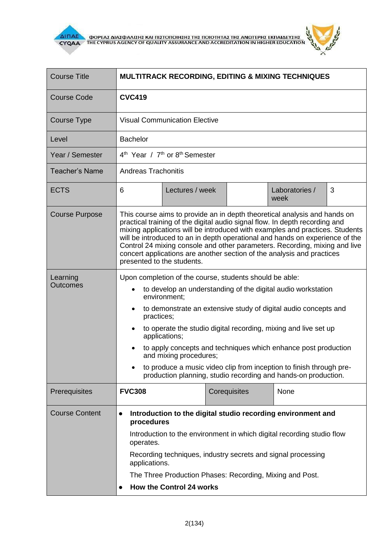



| <b>Course Title</b>         | <b>MULTITRACK RECORDING, EDITING &amp; MIXING TECHNIQUES</b>                                                                                                                                                                                                                                                                                                                                                                                                                                                                                                                |              |                        |   |  |
|-----------------------------|-----------------------------------------------------------------------------------------------------------------------------------------------------------------------------------------------------------------------------------------------------------------------------------------------------------------------------------------------------------------------------------------------------------------------------------------------------------------------------------------------------------------------------------------------------------------------------|--------------|------------------------|---|--|
| <b>Course Code</b>          | <b>CVC419</b>                                                                                                                                                                                                                                                                                                                                                                                                                                                                                                                                                               |              |                        |   |  |
| Course Type                 | <b>Visual Communication Elective</b>                                                                                                                                                                                                                                                                                                                                                                                                                                                                                                                                        |              |                        |   |  |
| Level                       | <b>Bachelor</b>                                                                                                                                                                                                                                                                                                                                                                                                                                                                                                                                                             |              |                        |   |  |
| Year / Semester             | 4 <sup>th</sup> Year / 7 <sup>th</sup> or 8 <sup>th</sup> Semester                                                                                                                                                                                                                                                                                                                                                                                                                                                                                                          |              |                        |   |  |
| <b>Teacher's Name</b>       | <b>Andreas Trachonitis</b>                                                                                                                                                                                                                                                                                                                                                                                                                                                                                                                                                  |              |                        |   |  |
| <b>ECTS</b>                 | 6<br>Lectures / week                                                                                                                                                                                                                                                                                                                                                                                                                                                                                                                                                        |              | Laboratories /<br>week | 3 |  |
| <b>Course Purpose</b>       | This course aims to provide an in depth theoretical analysis and hands on<br>practical training of the digital audio signal flow. In depth recording and<br>mixing applications will be introduced with examples and practices. Students<br>will be introduced to an in depth operational and hands on experience of the<br>Control 24 mixing console and other parameters. Recording, mixing and live<br>concert applications are another section of the analysis and practices<br>presented to the students.                                                              |              |                        |   |  |
| Learning<br><b>Outcomes</b> | Upon completion of the course, students should be able:<br>to develop an understanding of the digital audio workstation<br>$\bullet$<br>environment;<br>to demonstrate an extensive study of digital audio concepts and<br>$\bullet$<br>practices;<br>to operate the studio digital recording, mixing and live set up<br>applications;<br>to apply concepts and techniques which enhance post production<br>and mixing procedures;<br>to produce a music video clip from inception to finish through pre-<br>production planning, studio recording and hands-on production. |              |                        |   |  |
| Prerequisites               | <b>FVC308</b>                                                                                                                                                                                                                                                                                                                                                                                                                                                                                                                                                               | Corequisites | None                   |   |  |
| <b>Course Content</b>       | Introduction to the digital studio recording environment and<br>$\bullet$<br>procedures<br>Introduction to the environment in which digital recording studio flow<br>operates.<br>Recording techniques, industry secrets and signal processing<br>applications.<br>The Three Production Phases: Recording, Mixing and Post.<br><b>How the Control 24 works</b>                                                                                                                                                                                                              |              |                        |   |  |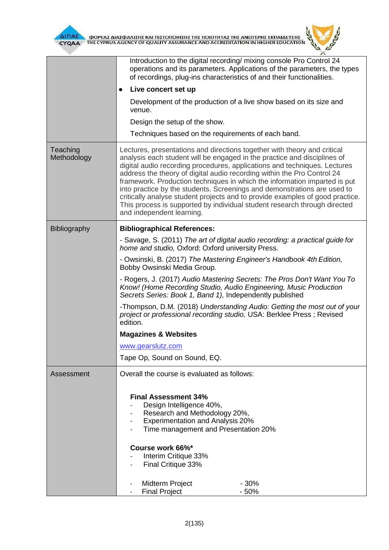



|                         | Introduction to the digital recording/ mixing console Pro Control 24<br>operations and its parameters. Applications of the parameters, the types<br>of recordings, plug-ins characteristics of and their functionalities.                                                                                                                                                                                                                                                                                                                                                                                                                                        |  |  |
|-------------------------|------------------------------------------------------------------------------------------------------------------------------------------------------------------------------------------------------------------------------------------------------------------------------------------------------------------------------------------------------------------------------------------------------------------------------------------------------------------------------------------------------------------------------------------------------------------------------------------------------------------------------------------------------------------|--|--|
|                         | Live concert set up<br>$\bullet$                                                                                                                                                                                                                                                                                                                                                                                                                                                                                                                                                                                                                                 |  |  |
|                         | Development of the production of a live show based on its size and<br>venue.                                                                                                                                                                                                                                                                                                                                                                                                                                                                                                                                                                                     |  |  |
|                         | Design the setup of the show.                                                                                                                                                                                                                                                                                                                                                                                                                                                                                                                                                                                                                                    |  |  |
|                         | Techniques based on the requirements of each band.                                                                                                                                                                                                                                                                                                                                                                                                                                                                                                                                                                                                               |  |  |
| Teaching<br>Methodology | Lectures, presentations and directions together with theory and critical<br>analysis each student will be engaged in the practice and disciplines of<br>digital audio recording procedures, applications and techniques. Lectures<br>address the theory of digital audio recording within the Pro Control 24<br>framework. Production techniques in which the information imparted is put<br>into practice by the students. Screenings and demonstrations are used to<br>critically analyse student projects and to provide examples of good practice.<br>This process is supported by individual student research through directed<br>and independent learning. |  |  |
| <b>Bibliography</b>     | <b>Bibliographical References:</b>                                                                                                                                                                                                                                                                                                                                                                                                                                                                                                                                                                                                                               |  |  |
|                         | - Savage, S. (2011) The art of digital audio recording: a practical guide for<br>home and studio, Oxford: Oxford university Press.                                                                                                                                                                                                                                                                                                                                                                                                                                                                                                                               |  |  |
|                         | - Owsinski, B. (2017) The Mastering Engineer's Handbook 4th Edition,<br>Bobby Owsinski Media Group.                                                                                                                                                                                                                                                                                                                                                                                                                                                                                                                                                              |  |  |
|                         | - Rogers, J. (2017) Audio Mastering Secrets: The Pros Don't Want You To<br>Know! (Home Recording Studio, Audio Engineering, Music Production<br>Secrets Series: Book 1, Band 1), Independently published                                                                                                                                                                                                                                                                                                                                                                                                                                                         |  |  |
|                         | -Thompson, D.M. (2018) Understanding Audio: Getting the most out of your<br>project or professional recording studio, USA: Berklee Press; Revised<br>edition.                                                                                                                                                                                                                                                                                                                                                                                                                                                                                                    |  |  |
|                         | <b>Magazines &amp; Websites</b>                                                                                                                                                                                                                                                                                                                                                                                                                                                                                                                                                                                                                                  |  |  |
|                         | www.gearslutz.com                                                                                                                                                                                                                                                                                                                                                                                                                                                                                                                                                                                                                                                |  |  |
|                         | Tape Op, Sound on Sound, EQ.                                                                                                                                                                                                                                                                                                                                                                                                                                                                                                                                                                                                                                     |  |  |
| Assessment              | Overall the course is evaluated as follows:                                                                                                                                                                                                                                                                                                                                                                                                                                                                                                                                                                                                                      |  |  |
|                         | <b>Final Assessment 34%</b><br>Design Intelligence 40%,<br>Research and Methodology 20%,<br><b>Experimentation and Analysis 20%</b><br>Time management and Presentation 20%<br>Course work 66%*<br>Interim Critique 33%<br>Final Critique 33%                                                                                                                                                                                                                                                                                                                                                                                                                    |  |  |
|                         | Midterm Project<br>$-30%$<br><b>Final Project</b><br>$-50%$                                                                                                                                                                                                                                                                                                                                                                                                                                                                                                                                                                                                      |  |  |